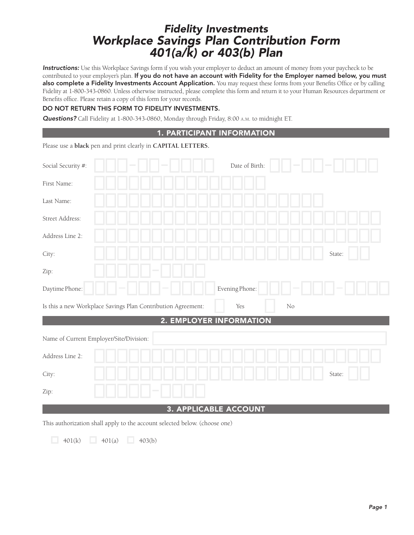# Fidelity Investments Workplace Savings Plan Contribution Form 401(a/k) or 403(b) Plan

Instructions: Use this Workplace Savings form if you wish your employer to deduct an amount of money from your paycheck to be contributed to your employer's plan. If you do not have an account with Fidelity for the Employer named below, you must also complete a Fidelity Investments Account Application. You may request these forms from your Benefits Office or by calling Fidelity at 1-800-343-0860. Unless otherwise instructed, please complete this form and return it to your Human Resources department or Benefits office. Please retain a copy of this form for your records.

## DO NOT RETURN THIS FORM TO FIDELITY INVESTMENTS.

Questions? Call Fidelity at 1-800-343-0860, Monday through Friday, 8:00 A.M. to midnight ET.

| 1. PARTICIPANT INFORMATION                                                                                                           |                         |    |        |  |  |  |  |
|--------------------------------------------------------------------------------------------------------------------------------------|-------------------------|----|--------|--|--|--|--|
| Please use a black pen and print clearly in CAPITAL LETTERS.                                                                         |                         |    |        |  |  |  |  |
|                                                                                                                                      |                         |    |        |  |  |  |  |
| Social Security #:                                                                                                                   | Date of Birth:          |    |        |  |  |  |  |
| First Name:                                                                                                                          |                         |    |        |  |  |  |  |
| Last Name:                                                                                                                           |                         |    |        |  |  |  |  |
| Street Address:                                                                                                                      |                         |    |        |  |  |  |  |
| Address Line 2:                                                                                                                      |                         |    |        |  |  |  |  |
| City:                                                                                                                                |                         |    | State: |  |  |  |  |
| Zip:                                                                                                                                 |                         |    |        |  |  |  |  |
| Daytime Phone:                                                                                                                       | Evening Phone:          |    |        |  |  |  |  |
| Is this a new Workplace Savings Plan Contribution Agreement:                                                                         | Yes                     | No |        |  |  |  |  |
|                                                                                                                                      | 2. EMPLOYER INFORMATION |    |        |  |  |  |  |
| Name of Current Employer/Site/Division:                                                                                              |                         |    |        |  |  |  |  |
| Address Line 2:                                                                                                                      |                         |    |        |  |  |  |  |
| City:                                                                                                                                |                         |    | State: |  |  |  |  |
| Zip:                                                                                                                                 |                         |    |        |  |  |  |  |
| 3. APPLICABLE ACCOUNT                                                                                                                |                         |    |        |  |  |  |  |
| $\mathbf{u}$<br>$\mathbf{1}$ $\mathbf{1}$ $\mathbf{1}$ $\mathbf{1}$ $\mathbf{1}$ $\mathbf{1}$ $\mathbf{1}$ $\mathbf{1}$ $\mathbf{1}$ |                         |    |        |  |  |  |  |

This authorization shall apply to the account selected below. (choose one)

 $\Box$  401(k)  $\Box$  401(a)  $\Box$  403(b)